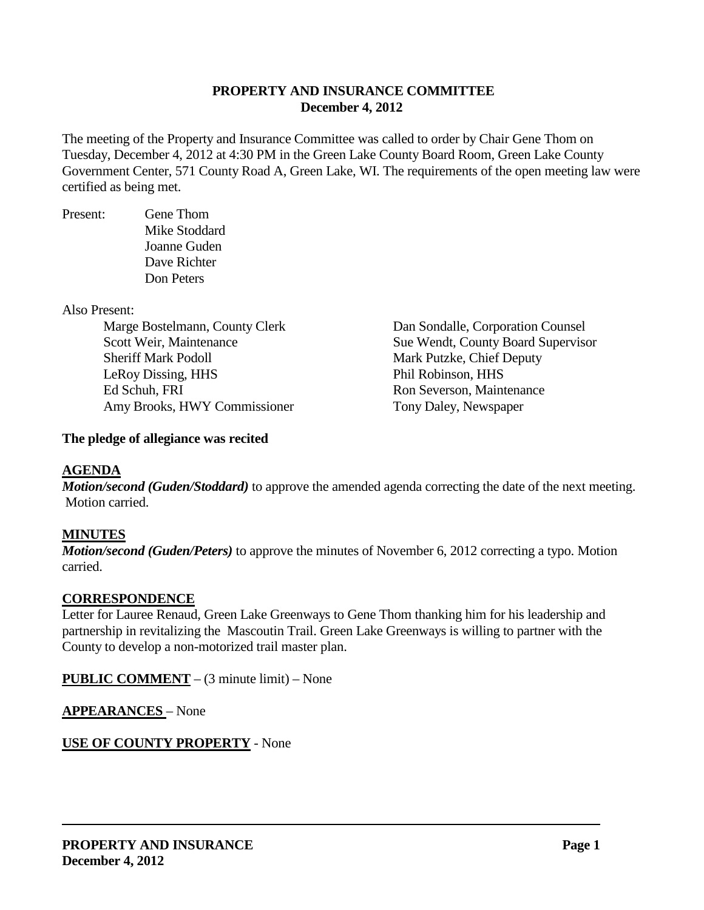## **PROPERTY AND INSURANCE COMMITTEE December 4, 2012**

The meeting of the Property and Insurance Committee was called to order by Chair Gene Thom on Tuesday, December 4, 2012 at 4:30 PM in the Green Lake County Board Room, Green Lake County Government Center, 571 County Road A, Green Lake, WI. The requirements of the open meeting law were certified as being met.

Present: Gene Thom Mike Stoddard Joanne Guden Dave Richter Don Peters

Also Present:

Sheriff Mark Podoll Mark Putzke, Chief Deputy LeRoy Dissing, HHS Phil Robinson, HHS Ed Schuh, FRI Ron Severson, Maintenance Amy Brooks, HWY Commissioner Tony Daley, Newspaper

Marge Bostelmann, County Clerk Dan Sondalle, Corporation Counsel Scott Weir, Maintenance Sue Wendt, County Board Supervisor

# **The pledge of allegiance was recited**

## **AGENDA**

*Motion/second (Guden/Stoddard)* to approve the amended agenda correcting the date of the next meeting. Motion carried.

# **MINUTES**

*Motion/second (Guden/Peters)* to approve the minutes of November 6, 2012 correcting a typo. Motion carried.

## **CORRESPONDENCE**

Letter for Lauree Renaud, Green Lake Greenways to Gene Thom thanking him for his leadership and partnership in revitalizing the Mascoutin Trail. Green Lake Greenways is willing to partner with the County to develop a non-motorized trail master plan.

**PUBLIC COMMENT** – (3 minute limit) – None

**APPEARANCES** – None

# **USE OF COUNTY PROPERTY** - None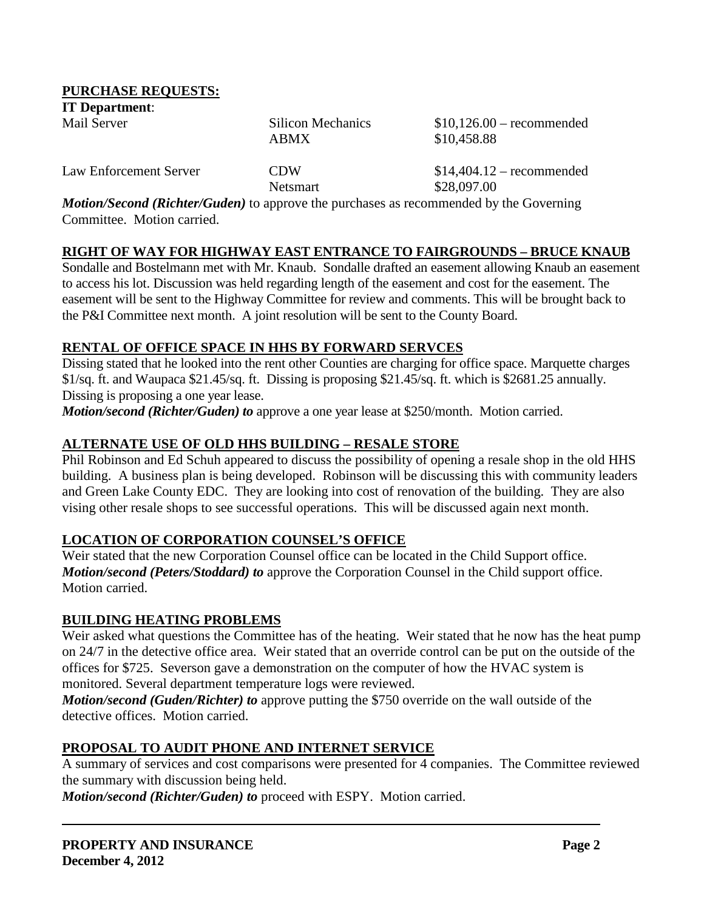#### **PURCHASE REQUESTS:**

| <b>IT Department:</b>  |                                  |                                           |
|------------------------|----------------------------------|-------------------------------------------|
| Mail Server            | Silicon Mechanics<br><b>ABMX</b> | $$10,126.00$ – recommended<br>\$10,458.88 |
| Law Enforcement Server | <b>CDW</b>                       | $$14,404.12$ – recommended                |

Netsmart \$28,097.00

*Motion/Second (Richter/Guden)* to approve the purchases as recommended by the Governing Committee. Motion carried.

#### **RIGHT OF WAY FOR HIGHWAY EAST ENTRANCE TO FAIRGROUNDS – BRUCE KNAUB**

Sondalle and Bostelmann met with Mr. Knaub. Sondalle drafted an easement allowing Knaub an easement to access his lot. Discussion was held regarding length of the easement and cost for the easement. The easement will be sent to the Highway Committee for review and comments. This will be brought back to the P&I Committee next month. A joint resolution will be sent to the County Board.

#### **RENTAL OF OFFICE SPACE IN HHS BY FORWARD SERVCES**

Dissing stated that he looked into the rent other Counties are charging for office space. Marquette charges \$1/sq. ft. and Waupaca \$21.45/sq. ft. Dissing is proposing \$21.45/sq. ft. which is \$2681.25 annually. Dissing is proposing a one year lease.

*Motion/second (Richter/Guden) to* approve a one year lease at \$250/month. Motion carried.

#### **ALTERNATE USE OF OLD HHS BUILDING – RESALE STORE**

Phil Robinson and Ed Schuh appeared to discuss the possibility of opening a resale shop in the old HHS building. A business plan is being developed. Robinson will be discussing this with community leaders and Green Lake County EDC. They are looking into cost of renovation of the building. They are also vising other resale shops to see successful operations. This will be discussed again next month.

## **LOCATION OF CORPORATION COUNSEL'S OFFICE**

Weir stated that the new Corporation Counsel office can be located in the Child Support office. *Motion/second (Peters/Stoddard) to* approve the Corporation Counsel in the Child support office. Motion carried.

#### **BUILDING HEATING PROBLEMS**

Weir asked what questions the Committee has of the heating. Weir stated that he now has the heat pump on 24/7 in the detective office area. Weir stated that an override control can be put on the outside of the offices for \$725. Severson gave a demonstration on the computer of how the HVAC system is monitored. Several department temperature logs were reviewed.

*Motion/second (Guden/Richter) to* approve putting the \$750 override on the wall outside of the detective offices. Motion carried.

## **PROPOSAL TO AUDIT PHONE AND INTERNET SERVICE**

A summary of services and cost comparisons were presented for 4 companies. The Committee reviewed the summary with discussion being held.

*Motion/second (Richter/Guden) to* proceed with ESPY. Motion carried.